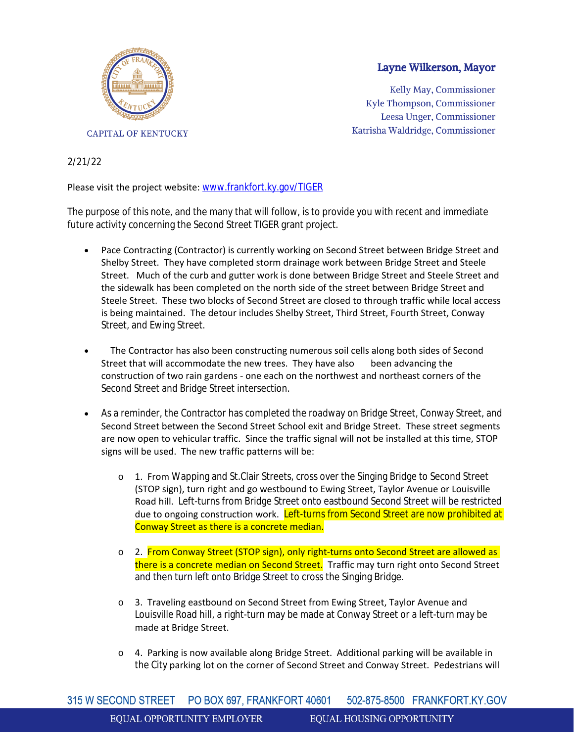

## Layne Wilkerson, Mayor

Kelly May, Commissioner Kyle Thompson, Commissioner Leesa Unger, Commissioner Katrisha Waldridge, Commissioner

## 2/21/22

## Please visit the project website: [www.frankfort.ky.gov/TIGER](http://www.frankfort.ky.gov/TIGER)

The purpose of this note, and the many that will follow, is to provide you with recent and immediate future activity concerning the Second Street TIGER grant project.

- Pace Contracting (Contractor) is currently working on Second Street between Bridge Street and Shelby Street. They have completed storm drainage work between Bridge Street and Steele Street. Much of the curb and gutter work is done between Bridge Street and Steele Street and the sidewalk has been completed on the north side of the street between Bridge Street and Steele Street. These two blocks of Second Street are closed to through traffic while local access is being maintained. The detour includes Shelby Street, Third Street, Fourth Street, Conway Street, and Ewing Street.
- The Contractor has also been constructing numerous soil cells along both sides of Second Street that will accommodate the new trees. They have also been advancing the construction of two rain gardens - one each on the northwest and northeast corners of the Second Street and Bridge Street intersection.
- As a reminder, the Contractor has completed the roadway on Bridge Street, Conway Street, and Second Street between the Second Street School exit and Bridge Street. These street segments are now open to vehicular traffic. Since the traffic signal will not be installed at this time, STOP signs will be used. The new traffic patterns will be:
	- o 1. From Wapping and St.Clair Streets, cross over the Singing Bridge to Second Street (STOP sign), turn right and go westbound to Ewing Street, Taylor Avenue or Louisville Road hill. Left-turns from Bridge Street onto eastbound Second Street will be restricted due to ongoing construction work. Left-turns from Second Street are now prohibited at Conway Street as there is a concrete median.
	- o 2. From Conway Street (STOP sign), only right-turns onto Second Street are allowed as there is a concrete median on Second Street. Traffic may turn right onto Second Street and then turn left onto Bridge Street to cross the Singing Bridge.
	- o 3. Traveling eastbound on Second Street from Ewing Street, Taylor Avenue and Louisville Road hill, a right-turn may be made at Conway Street or a left-turn may be made at Bridge Street.
	- o 4. Parking is now available along Bridge Street. Additional parking will be available in the City parking lot on the corner of Second Street and Conway Street. Pedestrians will